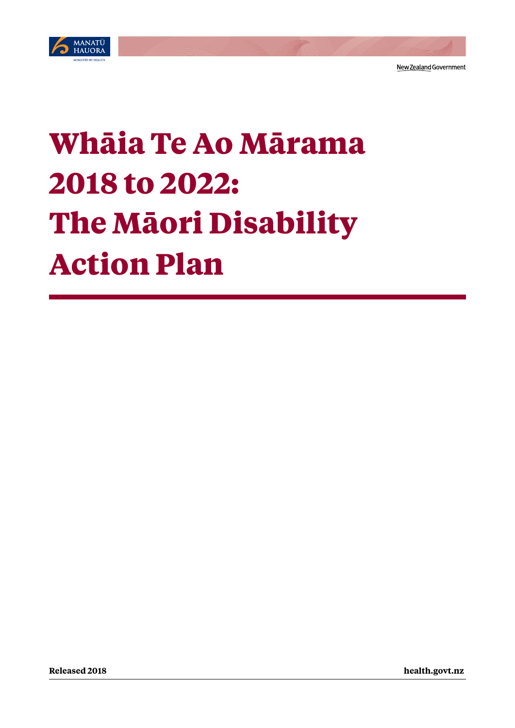

# **Whāia Te Ao Mārama 2018 to 2022: The Māori Disability Action Plan**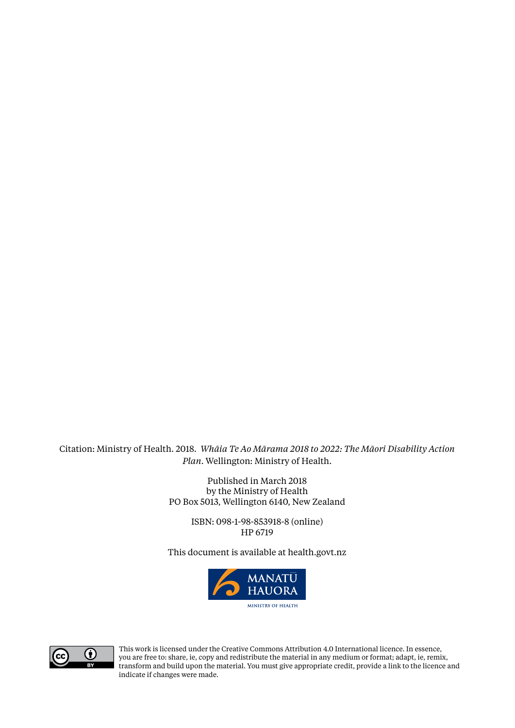Citation: Ministry of Health. 2018. *Whāia Te Ao Mārama 2018 to 2022: The Māori Disability Action Plan*. Wellington: Ministry of Health.

> Published in March 2018 by the Ministry of Health PO Box 5013, Wellington 6140, New Zealand

> > ISBN: 098-1-98-853918-8 (online) HP 6719

This document is available at<health.govt.nz>





This work is licensed under the Creative Commons Attribution 4.0 International licence. In essence, you are free to: share, ie, copy and redistribute the material in any medium or format; adapt, ie, remix, transform and build upon the material. You must give appropriate credit, provide a link to the licence and indicate if changes were made.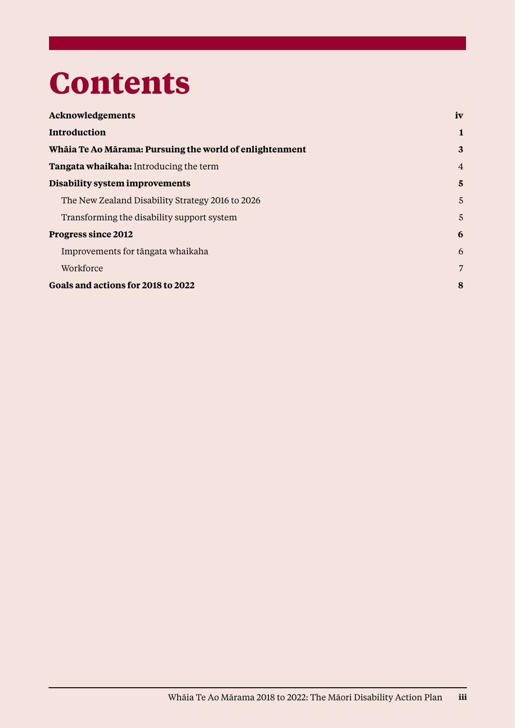## **Contents**

| Acknowledgements                                        | iv             |
|---------------------------------------------------------|----------------|
| Introduction                                            | 1              |
| Whāia Te Ao Mārama: Pursuing the world of enlightenment | $\mathbf{3}$   |
| Tangata whaikaha: Introducing the term                  | $\overline{4}$ |
| Disability system improvements                          | 5              |
| The New Zealand Disability Strategy 2016 to 2026        | 5              |
| Transforming the disability support system              | 5              |
| Progress since 2012                                     | 6              |
| Improvements for tāngata whaikaha                       | 6              |
| Workforce                                               | 7              |
| Goals and actions for 2018 to 2022                      | 8              |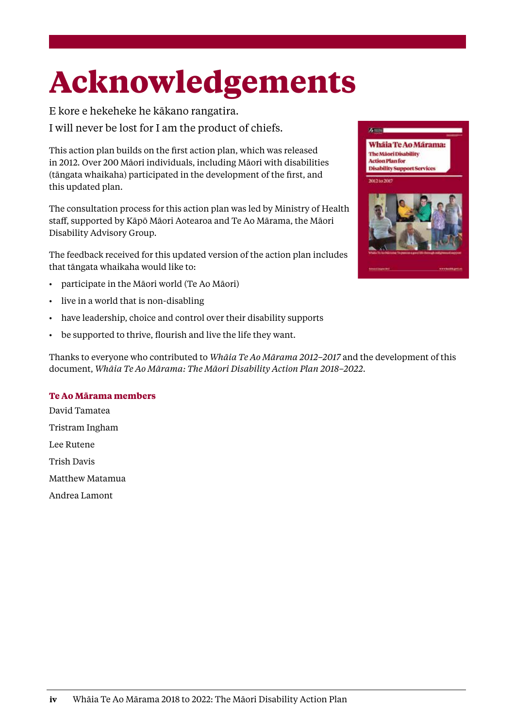## <span id="page-3-0"></span>**Acknowledgements**

E kore e hekeheke he kākano rangatira. I will never be lost for I am the product of chiefs.

This action plan builds on the first action plan, which was released in 2012. Over 200 Māori individuals, including Māori with disabilities (tāngata whaikaha) participated in the development of the first, and this updated plan.

The consultation process for this action plan was led by Ministry of Health staff, supported by Kāpō Māori Aotearoa and Te Ao Mārama, the Māori Disability Advisory Group.

The feedback received for this updated version of the action plan includes that tāngata whaikaha would like to:

- participate in the Māori world (Te Ao Māori)
- live in a world that is non-disabling
- have leadership, choice and control over their disability supports
- be supported to thrive, flourish and live the life they want.

Thanks to everyone who contributed to *Whāia Te Ao Mārama 2012–2017* and the development of this document, *Whāia Te Ao Mārama: The Māori Disability Action Plan 2018–2022*.

#### **Te Ao Mārama members**

David Tamatea Tristram Ingham Lee Rutene Trish Davis Matthew Matamua Andrea Lamont



Whaia Te Ao Marama: The Mãori Disability **Action Plan for** 

**Street**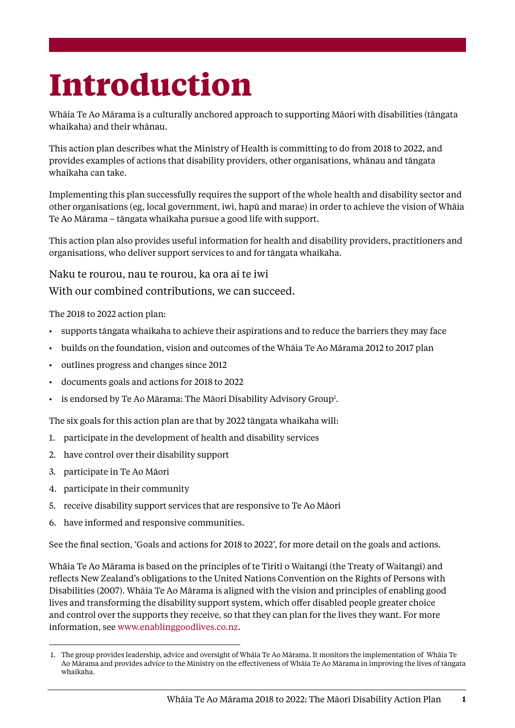## <span id="page-4-0"></span>**Introduction**

Whāia Te Ao Mārama is a culturally anchored approach to supporting Māori with disabilities (tāngata whaikaha) and their whānau.

This action plan describes what the Ministry of Health is committing to do from 2018 to 2022, and provides examples of actions that disability providers, other organisations, whānau and tāngata whaikaha can take.

Implementing this plan successfully requires the support of the whole health and disability sector and other organisations (eg, local government, iwi, hapū and marae) in order to achieve the vision of Whāia Te Ao Mārama – tāngata whaikaha pursue a good life with support.

This action plan also provides useful information for health and disability providers, practitioners and organisations, who deliver support services to and for tāngata whaikaha.

Naku te rourou, nau te rourou, ka ora ai te iwi

With our combined contributions, we can succeed.

The 2018 to 2022 action plan:

- supports tāngata whaikaha to achieve their aspirations and to reduce the barriers they may face
- builds on the foundation, vision and outcomes of the Whāia Te Ao Mārama 2012 to 2017 plan
- outlines progress and changes since 2012
- documents goals and actions for 2018 to 2022
- $\bullet$  is endorsed by Te Ao Mārama: The Māori Disability Advisory Group<sup>1</sup>.

The six goals for this action plan are that by 2022 tāngata whaikaha will:

- 1. participate in the development of health and disability services
- 2. have control over their disability support
- 3. participate in Te Ao Māori
- 4. participate in their community
- 5. receive disability support services that are responsive to Te Ao Māori
- 6. have informed and responsive communities.

See the final section, 'Goals and actions for 2018 to 2022', for more detail on the goals and actions.

Whāia Te Ao Mārama is based on the principles of te Tiriti o Waitangi (the Treaty of Waitangi) and reflects New Zealand's obligations to the United Nations Convention on the Rights of Persons with Disabilities (2007). Whāia Te Ao Mārama is aligned with the vision and principles of enabling good lives and transforming the disability support system, which offer disabled people greater choice and control over the supports they receive, so that they can plan for the lives they want. For more information, see [www.enablinggoodlives.co.nz](http://www.enablinggoodlives.co.nz/).

 <sup>1.</sup> The group provides leadership, advice and oversight of Whāia Te Ao Mārama. It monitors the implementation of Whāia Te Ao Mārama and provides advice to the Ministry on the effectiveness of Whāia Te Ao Mārama in improving the lives of tāngata whaikaha.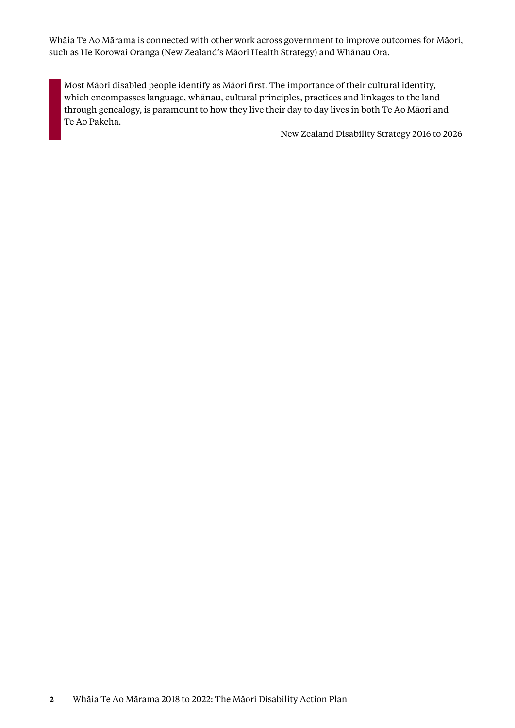Whāia Te Ao Mārama is connected with other work across government to improve outcomes for Māori, such as He Korowai Oranga (New Zealand's Māori Health Strategy) and Whānau Ora.

Most Māori disabled people identify as Māori first. The importance of their cultural identity, which encompasses language, whānau, cultural principles, practices and linkages to the land through genealogy, is paramount to how they live their day to day lives in both Te Ao Māori and Te Ao Pakeha.

New Zealand Disability Strategy 2016 to 2026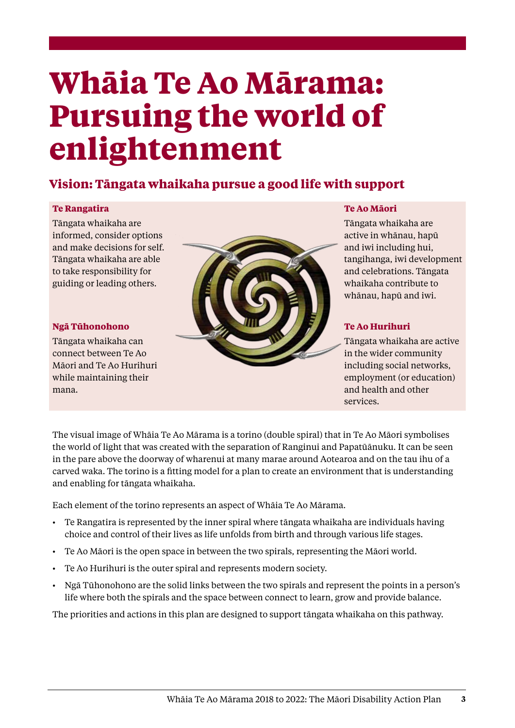### <span id="page-6-0"></span>**Whāia Te Ao Mārama: Pursuing the world of enlightenment**

#### **Vision: Tāngata whaikaha pursue a good life with support**

#### **Te Rangatira**

Tāngata whaikaha are informed, consider options and make decisions for self. Tāngata whaikaha are able to take responsibility for guiding or leading others.

#### **Ngā Tūhonohono**

Tāngata whaikaha can connect between Te Ao Māori and Te Ao Hurihuri while maintaining their mana.



#### **Te Ao Māori**

Tāngata whaikaha are active in whānau, hapū and iwi including hui, tangihanga, iwi development and celebrations. Tāngata whaikaha contribute to whānau, hapū and iwi.

#### **Te Ao Hurihuri**

Tāngata whaikaha are active in the wider community including social networks, employment (or education) and health and other services.

The visual image of Whāia Te Ao Mārama is a torino (double spiral) that in Te Ao Māori symbolises the world of light that was created with the separation of Ranginui and Papatūānuku. It can be seen in the pare above the doorway of wharenui at many marae around Aotearoa and on the tau ihu of a carved waka. The torino is a fitting model for a plan to create an environment that is understanding and enabling for tāngata whaikaha.

Each element of the torino represents an aspect of Whāia Te Ao Mārama.

- Te Rangatira is represented by the inner spiral where tāngata whaikaha are individuals having choice and control of their lives as life unfolds from birth and through various life stages.
- Te Ao Māori is the open space in between the two spirals, representing the Māori world.
- Te Ao Hurihuri is the outer spiral and represents modern society.
- Ngā Tūhonohono are the solid links between the two spirals and represent the points in a person's life where both the spirals and the space between connect to learn, grow and provide balance.

The priorities and actions in this plan are designed to support tāngata whaikaha on this pathway.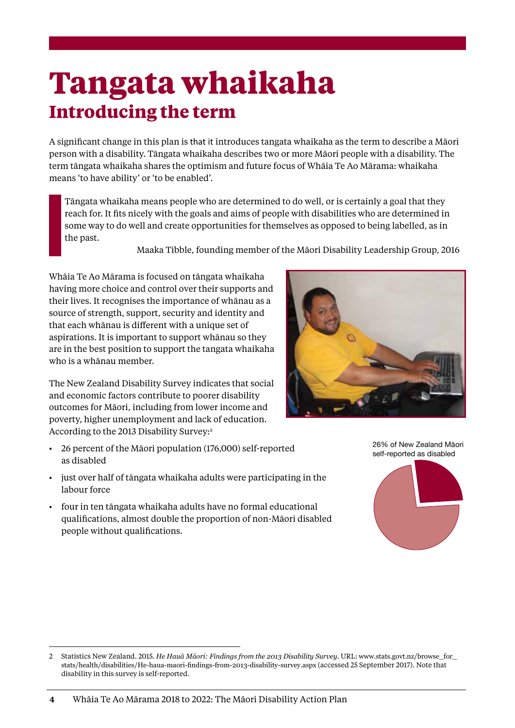### <span id="page-7-0"></span>**Tangata whaikaha Introducing the term**

A significant change in this plan is that it introduces tangata whaikaha as the term to describe a Māori person with a disability. Tāngata whaikaha describes two or more Māori people with a disability. The term tāngata whaikaha shares the optimism and future focus of Whāia Te Ao Mārama: whaikaha means 'to have ability' or 'to be enabled'.

Tāngata whaikaha means people who are determined to do well, or is certainly a goal that they reach for. It fits nicely with the goals and aims of people with disabilities who are determined in some way to do well and create opportunities for themselves as opposed to being labelled, as in the past.

Maaka Tibble, founding member of the Māori Disability Leadership Group, 2016

Whāia Te Ao Mārama is focused on tāngata whaikaha having more choice and control over their supports and their lives. It recognises the importance of whānau as a source of strength, support, security and identity and that each whānau is different with a unique set of aspirations. It is important to support whānau so they are in the best position to support the tangata whaikaha who is a whānau member.

The New Zealand Disability Survey indicates that social and economic factors contribute to poorer disability outcomes for Māori, including from lower income and poverty, higher unemployment and lack of education. According to the 2013 Disability Survey:<sup>2</sup>

- 26 percent of the Māori population (176,000) self-reported as disabled
- just over half of tāngata whaikaha adults were participating in the labour force
- four in ten tāngata whaikaha adults have no formal educational qualifications, almost double the proportion of non-Māori disabled people without qualifications.



26% of New Zealand Māori self-reported as disabled



<sup>2</sup> Statistics New Zealand. 2015. *He Hauā Māori: Findings from the 2013 Disability Survey*. URL: [www.stats.govt.nz/browse\\_for\\_](http://www.stats.govt.nz/browse_for_stats/health/disabilities/He-haua-maori-findings-from-2013-disability-survey.aspx) [stats/health/disabilities/He-haua-maori-findings-from-2013-disability-survey.aspx](http://www.stats.govt.nz/browse_for_stats/health/disabilities/He-haua-maori-findings-from-2013-disability-survey.aspx) (accessed 25 September 2017). Note that disability in this survey is self-reported.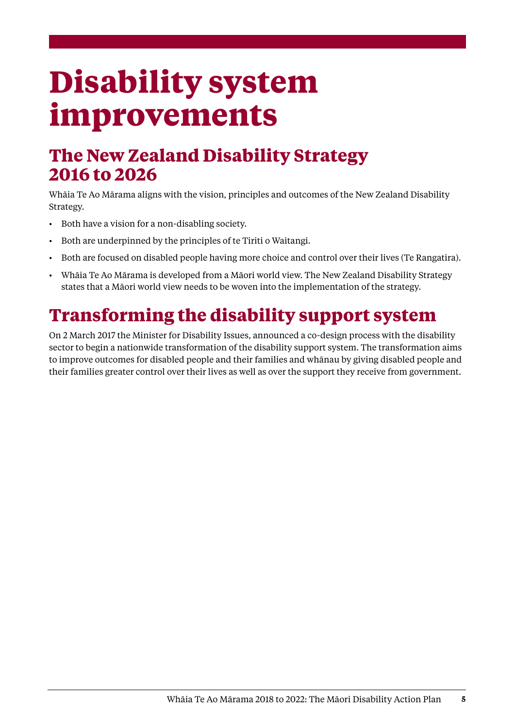## <span id="page-8-0"></span>**Disability system improvements**

### **The New Zealand Disability Strategy 2016 to 2026**

Whāia Te Ao Mārama aligns with the vision, principles and outcomes of the New Zealand Disability Strategy.

- Both have a vision for a non-disabling society.
- Both are underpinned by the principles of te Tiriti o Waitangi.
- Both are focused on disabled people having more choice and control over their lives (Te Rangatira).
- Whāia Te Ao Mārama is developed from a Māori world view. The New Zealand Disability Strategy states that a Māori world view needs to be woven into the implementation of the strategy.

### **Transforming the disability support system**

On 2 March 2017 the Minister for Disability Issues, announced a co-design process with the disability sector to begin a nationwide transformation of the disability support system. The transformation aims to improve outcomes for disabled people and their families and whānau by giving disabled people and their families greater control over their lives as well as over the support they receive from government.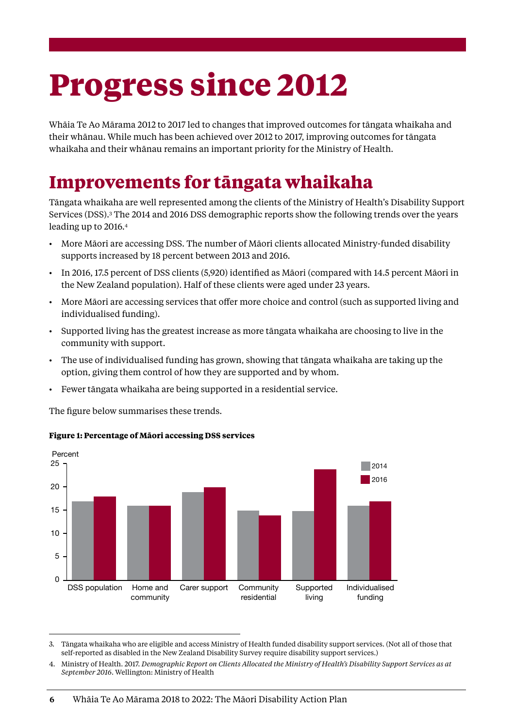## <span id="page-9-0"></span>**Progress since 2012**

Whāia Te Ao Mārama 2012 to 2017 led to changes that improved outcomes for tāngata whaikaha and their whānau. While much has been achieved over 2012 to 2017, improving outcomes for tāngata whaikaha and their whānau remains an important priority for the Ministry of Health.

### **Improvements for tāngata whaikaha**

Tāngata whaikaha are well represented among the clients of the Ministry of Health's Disability Support Services (DSS).<sup>3</sup> The 2014 and 2016 DSS demographic reports show the following trends over the years leading up to 2016.<sup>4</sup>

- More Māori are accessing DSS. The number of Māori clients allocated Ministry-funded disability supports increased by 18 percent between 2013 and 2016.
- In 2016, 17.5 percent of DSS clients (5,920) identified as Māori (compared with 14.5 percent Māori in the New Zealand population). Half of these clients were aged under 23 years.
- More Māori are accessing services that offer more choice and control (such as supported living and individualised funding).
- Supported living has the greatest increase as more tāngata whaikaha are choosing to live in the community with support.
- The use of individualised funding has grown, showing that tāngata whaikaha are taking up the option, giving them control of how they are supported and by whom.
- Fewer tāngata whaikaha are being supported in a residential service.

The figure below summarises these trends.



#### **Figure 1: Percentage of Māori accessing DSS services**

<sup>3.</sup> Tāngata whaikaha who are eligible and access Ministry of Health funded disability support services. (Not all of those that self-reported as disabled in the New Zealand Disability Survey require disability support services.)

<sup>4.</sup> Ministry of Health. 2017. *Demographic Report on Clients Allocated the Ministry of Health's Disability Support Services as at September 2016*. Wellington: Ministry of Health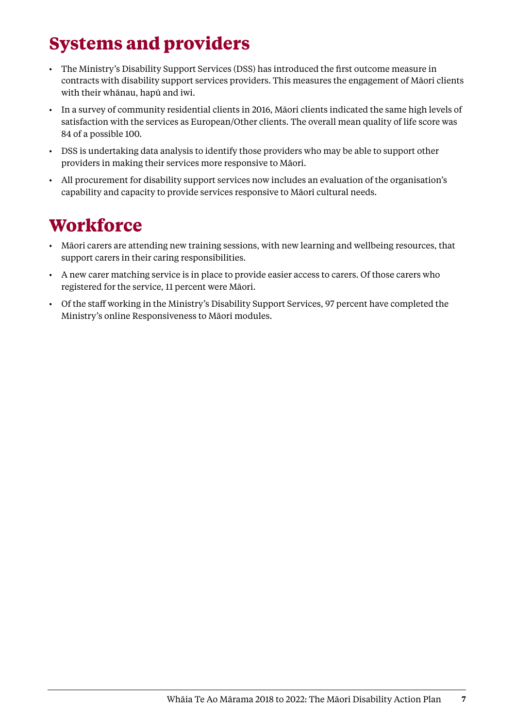### <span id="page-10-0"></span>**Systems and providers**

- The Ministry's Disability Support Services (DSS) has introduced the first outcome measure in contracts with disability support services providers. This measures the engagement of Māori clients with their whānau, hapū and iwi.
- In a survey of community residential clients in 2016, Māori clients indicated the same high levels of satisfaction with the services as European/Other clients. The overall mean quality of life score was 84 of a possible 100.
- DSS is undertaking data analysis to identify those providers who may be able to support other providers in making their services more responsive to Māori.
- All procurement for disability support services now includes an evaluation of the organisation's capability and capacity to provide services responsive to Māori cultural needs.

### **Workforce**

- Māori carers are attending new training sessions, with new learning and wellbeing resources, that support carers in their caring responsibilities.
- A new carer matching service is in place to provide easier access to carers. Of those carers who registered for the service, 11 percent were Māori.
- Of the staff working in the Ministry's Disability Support Services, 97 percent have completed the Ministry's online Responsiveness to Māori modules.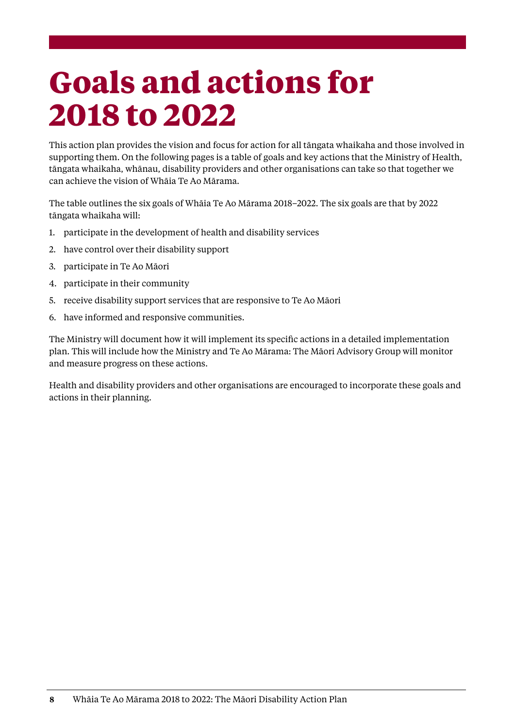## <span id="page-11-0"></span>**Goals and actions for 2018 to 2022**

This action plan provides the vision and focus for action for all tāngata whaikaha and those involved in supporting them. On the following pages is a table of goals and key actions that the Ministry of Health, tāngata whaikaha, whānau, disability providers and other organisations can take so that together we can achieve the vision of Whāia Te Ao Mārama.

The table outlines the six goals of Whāia Te Ao Mārama 2018–2022. The six goals are that by 2022 tāngata whaikaha will:

- 1. participate in the development of health and disability services
- 2. have control over their disability support
- 3. participate in Te Ao Māori
- 4. participate in their community
- 5. receive disability support services that are responsive to Te Ao Māori
- 6. have informed and responsive communities.

The Ministry will document how it will implement its specific actions in a detailed implementation plan. This will include how the Ministry and Te Ao Mārama: The Māori Advisory Group will monitor and measure progress on these actions.

Health and disability providers and other organisations are encouraged to incorporate these goals and actions in their planning.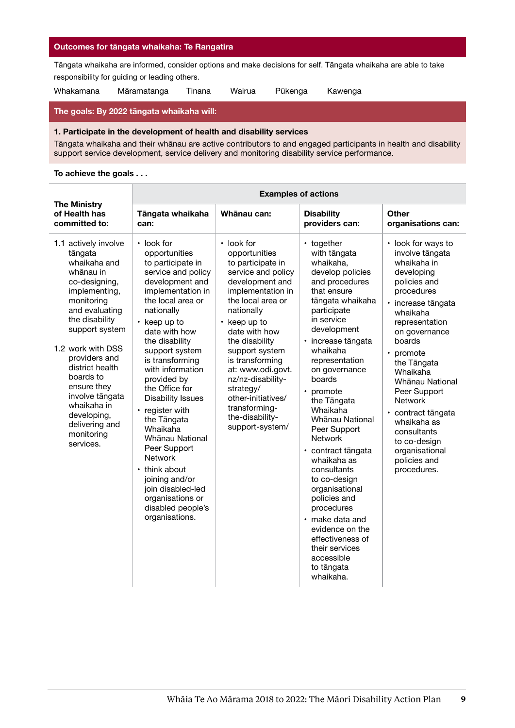#### **Outcomes for tāngata whaikaha: Te Rangatira**

Tāngata whaikaha are informed, consider options and make decisions for self. Tāngata whaikaha are able to take responsibility for guiding or leading others.

Whakamana Māramatanga Tinana Wairua Pūkenga Kawenga

#### **The goals: By 2022 tāngata whaikaha will:**

#### **1. Participate in the development of health and disability services**

Tāngata whaikaha and their whānau are active contributors to and engaged participants in health and disability support service development, service delivery and monitoring disability service performance.

|                                                                                                                                                                                                                                                                                                                                                       | <b>Examples of actions</b>                                                                                                                                                                                                                                                                                                                                                                                                                                                                                                                             |                                                                                                                                                                                                                                                                                                                                                                                           |                                                                                                                                                                                                                                                                                                                                                                                                                                                                                                                                                                                 |                                                                                                                                                                                                                                                                                                                                                                                                   |
|-------------------------------------------------------------------------------------------------------------------------------------------------------------------------------------------------------------------------------------------------------------------------------------------------------------------------------------------------------|--------------------------------------------------------------------------------------------------------------------------------------------------------------------------------------------------------------------------------------------------------------------------------------------------------------------------------------------------------------------------------------------------------------------------------------------------------------------------------------------------------------------------------------------------------|-------------------------------------------------------------------------------------------------------------------------------------------------------------------------------------------------------------------------------------------------------------------------------------------------------------------------------------------------------------------------------------------|---------------------------------------------------------------------------------------------------------------------------------------------------------------------------------------------------------------------------------------------------------------------------------------------------------------------------------------------------------------------------------------------------------------------------------------------------------------------------------------------------------------------------------------------------------------------------------|---------------------------------------------------------------------------------------------------------------------------------------------------------------------------------------------------------------------------------------------------------------------------------------------------------------------------------------------------------------------------------------------------|
| <b>The Ministry</b><br>of Health has<br>committed to:                                                                                                                                                                                                                                                                                                 | Tāngata whaikaha<br>can:                                                                                                                                                                                                                                                                                                                                                                                                                                                                                                                               | Whānau can:                                                                                                                                                                                                                                                                                                                                                                               | <b>Disability</b><br>providers can:                                                                                                                                                                                                                                                                                                                                                                                                                                                                                                                                             | Other<br>organisations can:                                                                                                                                                                                                                                                                                                                                                                       |
| 1.1 actively involve<br>tāngata<br>whaikaha and<br>whānau in<br>co-designing,<br>implementing,<br>monitoring<br>and evaluating<br>the disability<br>support system<br>1.2 work with DSS<br>providers and<br>district health<br>boards to<br>ensure they<br>involve tāngata<br>whaikaha in<br>developing,<br>delivering and<br>monitoring<br>services. | • look for<br>opportunities<br>to participate in<br>service and policy<br>development and<br>implementation in<br>the local area or<br>nationally<br>$\cdot$ keep up to<br>date with how<br>the disability<br>support system<br>is transforming<br>with information<br>provided by<br>the Office for<br><b>Disability Issues</b><br>• register with<br>the Tāngata<br>Whaikaha<br>Whānau National<br>Peer Support<br><b>Network</b><br>• think about<br>joining and/or<br>join disabled-led<br>organisations or<br>disabled people's<br>organisations. | $\cdot$ look for<br>opportunities<br>to participate in<br>service and policy<br>development and<br>implementation in<br>the local area or<br>nationally<br>$\cdot$ keep up to<br>date with how<br>the disability<br>support system<br>is transforming<br>at: www.odi.govt.<br>nz/nz-disability-<br>strategy/<br>other-initiatives/<br>transforming-<br>the-disability-<br>support-system/ | • together<br>with tāngata<br>whaikaha,<br>develop policies<br>and procedures<br>that ensure<br>tāngata whaikaha<br>participate<br>in service<br>development<br>· increase tāngata<br>whaikaha<br>representation<br>on governance<br>boards<br>promote<br>the Tāngata<br>Whaikaha<br>Whānau National<br>Peer Support<br><b>Network</b><br>· contract tāngata<br>whaikaha as<br>consultants<br>to co-design<br>organisational<br>policies and<br>procedures<br>· make data and<br>evidence on the<br>effectiveness of<br>their services<br>accessible<br>to tāngata<br>whaikaha. | · look for ways to<br>involve tāngata<br>whaikaha in<br>developing<br>policies and<br>procedures<br>· increase tāngata<br>whaikaha<br>representation<br>on governance<br>boards<br>• promote<br>the Tāngata<br>Whaikaha<br>Whānau National<br>Peer Support<br><b>Network</b><br>• contract tāngata<br>whaikaha as<br>consultants<br>to co-design<br>organisational<br>policies and<br>procedures. |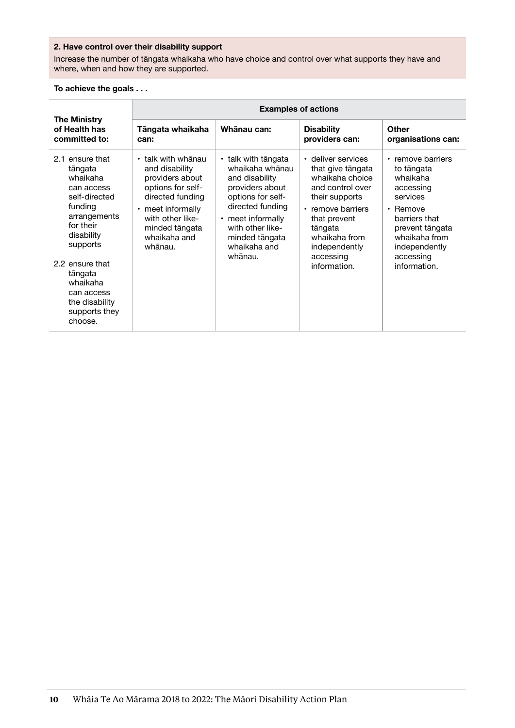#### **2. Have control over their disability support**

Increase the number of tāngata whaikaha who have choice and control over what supports they have and where, when and how they are supported.

|                                                                                                                                                                                                                                               | <b>Examples of actions</b>                                                                                                                                                                   |                                                                                                                                                                                                            |                                                                                                                                                                                                                 |                                                                                                                                                                                           |
|-----------------------------------------------------------------------------------------------------------------------------------------------------------------------------------------------------------------------------------------------|----------------------------------------------------------------------------------------------------------------------------------------------------------------------------------------------|------------------------------------------------------------------------------------------------------------------------------------------------------------------------------------------------------------|-----------------------------------------------------------------------------------------------------------------------------------------------------------------------------------------------------------------|-------------------------------------------------------------------------------------------------------------------------------------------------------------------------------------------|
| <b>The Ministry</b><br>of Health has<br>committed to:                                                                                                                                                                                         | Tāngata whaikaha<br>can:                                                                                                                                                                     | Whānau can:                                                                                                                                                                                                | <b>Disability</b><br>providers can:                                                                                                                                                                             | Other<br>organisations can:                                                                                                                                                               |
| 2.1 ensure that<br>tāngata<br>whaikaha<br>can access<br>self-directed<br>funding<br>arrangements<br>for their<br>disability<br>supports<br>2.2 ensure that<br>tāngata<br>whaikaha<br>can access<br>the disability<br>supports they<br>choose. | $\cdot$ talk with whanau<br>and disability<br>providers about<br>options for self-<br>directed funding<br>• meet informally<br>with other like-<br>minded tāngata<br>whaikaha and<br>whānau. | • talk with tāngata<br>whaikaha whānau<br>and disability<br>providers about<br>options for self-<br>directed funding<br>• meet informally<br>with other like-<br>minded tāngata<br>whaikaha and<br>whānau. | • deliver services<br>that give tāngata<br>whaikaha choice<br>and control over<br>their supports<br>• remove barriers<br>that prevent<br>tāngata<br>whaikaha from<br>independently<br>accessing<br>information. | • remove barriers<br>to tāngata<br>whaikaha<br>accessing<br>services<br>$\cdot$ Remove<br>barriers that<br>prevent tāngata<br>whaikaha from<br>independently<br>accessing<br>information. |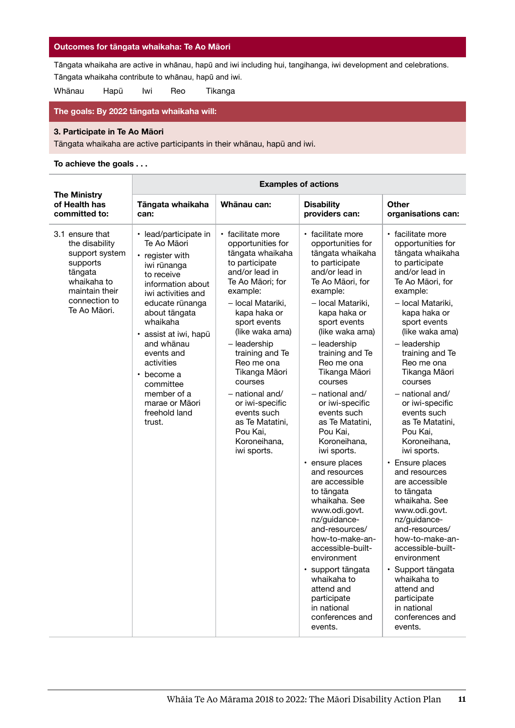#### **Outcomes for tāngata whaikaha: Te Ao Māori**

Tāngata whaikaha are active in whānau, hapū and iwi including hui, tangihanga, iwi development and celebrations.

Tāngata whaikaha contribute to whānau, hapū and iwi.

Whānau Hapū Iwi Reo Tikanga

#### **The goals: By 2022 tāngata whaikaha will:**

#### **3. Participate in Te Ao Māori**

Tāngata whaikaha are active participants in their whānau, hapū and iwi.

|                                                                                                                                              | <b>Examples of actions</b>                                                                                                                                                                                                                                                                                                                           |                                                                                                                                                                                                                                                                                                                                                                                                        |                                                                                                                                                                                                                                                                                                                                                                                                                                                                                                                                                                                                                                                                                                                     |                                                                                                                                                                                                                                                                                                                                                                                                                                                                                                                                                                                                                                                                                                                       |
|----------------------------------------------------------------------------------------------------------------------------------------------|------------------------------------------------------------------------------------------------------------------------------------------------------------------------------------------------------------------------------------------------------------------------------------------------------------------------------------------------------|--------------------------------------------------------------------------------------------------------------------------------------------------------------------------------------------------------------------------------------------------------------------------------------------------------------------------------------------------------------------------------------------------------|---------------------------------------------------------------------------------------------------------------------------------------------------------------------------------------------------------------------------------------------------------------------------------------------------------------------------------------------------------------------------------------------------------------------------------------------------------------------------------------------------------------------------------------------------------------------------------------------------------------------------------------------------------------------------------------------------------------------|-----------------------------------------------------------------------------------------------------------------------------------------------------------------------------------------------------------------------------------------------------------------------------------------------------------------------------------------------------------------------------------------------------------------------------------------------------------------------------------------------------------------------------------------------------------------------------------------------------------------------------------------------------------------------------------------------------------------------|
| <b>The Ministry</b><br>of Health has<br>committed to:                                                                                        | Tāngata whaikaha<br>can:                                                                                                                                                                                                                                                                                                                             | Whānau can:                                                                                                                                                                                                                                                                                                                                                                                            | <b>Disability</b><br>providers can:                                                                                                                                                                                                                                                                                                                                                                                                                                                                                                                                                                                                                                                                                 | Other<br>organisations can:                                                                                                                                                                                                                                                                                                                                                                                                                                                                                                                                                                                                                                                                                           |
| 3.1 ensure that<br>the disability<br>support system<br>supports<br>tāngata<br>whaikaha to<br>maintain their<br>connection to<br>Te Ao Māori. | • lead/participate in<br>Te Ao Māori<br>• register with<br>iwi rūnanga<br>to receive<br>information about<br>iwi activities and<br>educate rūnanga<br>about tāngata<br>whaikaha<br>· assist at iwi, hapū<br>and whānau<br>events and<br>activities<br>become a<br>$\bullet$<br>committee<br>member of a<br>marae or Māori<br>freehold land<br>trust. | · facilitate more<br>opportunities for<br>tāngata whaikaha<br>to participate<br>and/or lead in<br>Te Ao Māori; for<br>example:<br>- local Matariki,<br>kapa haka or<br>sport events<br>(like waka ama)<br>- leadership<br>training and Te<br>Reo me ona<br>Tikanga Māori<br>courses<br>- national and/<br>or iwi-specific<br>events such<br>as Te Matatini,<br>Pou Kai.<br>Koroneihana,<br>iwi sports. | • facilitate more<br>opportunities for<br>tāngata whaikaha<br>to participate<br>and/or lead in<br>Te Ao Māori, for<br>example:<br>- local Matariki,<br>kapa haka or<br>sport events<br>(like waka ama)<br>- leadership<br>training and Te<br>Reo me ona<br>Tikanga Māori<br>courses<br>- national and/<br>or iwi-specific<br>events such<br>as Te Matatini,<br>Pou Kai.<br>Koroneihana,<br>iwi sports.<br>• ensure places<br>and resources<br>are accessible<br>to tāngata<br>whaikaha. See<br>www.odi.govt.<br>nz/guidance-<br>and-resources/<br>how-to-make-an-<br>accessible-built-<br>environment<br>· support tāngata<br>whaikaha to<br>attend and<br>participate<br>in national<br>conferences and<br>events. | • facilitate more<br>opportunities for<br>tāngata whaikaha<br>to participate<br>and/or lead in<br>Te Ao Māori, for<br>example:<br>- local Matariki,<br>kapa haka or<br>sport events<br>(like waka ama)<br>- leadership<br>training and Te<br>Reo me ona<br>Tikanga Māori<br>courses<br>$-$ national and/<br>or iwi-specific<br>events such<br>as Te Matatini,<br>Pou Kai.<br>Koroneihana,<br>iwi sports.<br>• Ensure places<br>and resources<br>are accessible<br>to tāngata<br>whaikaha. See<br>www.odi.govt.<br>nz/guidance-<br>and-resources/<br>how-to-make-an-<br>accessible-built-<br>environment<br>· Support tāngata<br>whaikaha to<br>attend and<br>participate<br>in national<br>conferences and<br>events. |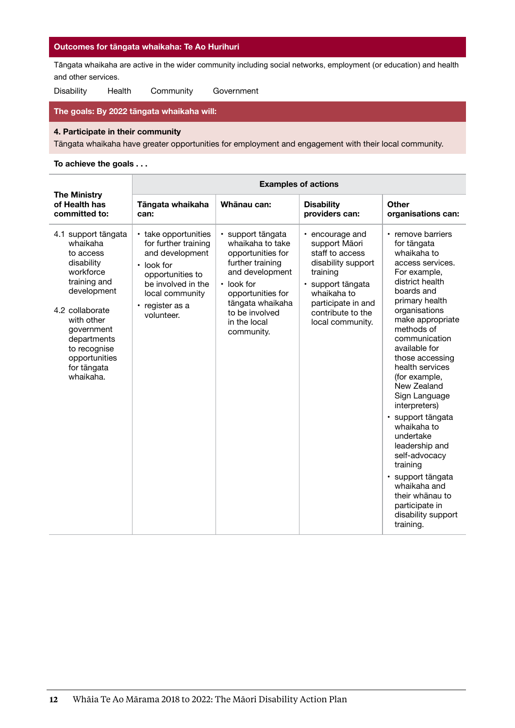#### **Outcomes for tāngata whaikaha: Te Ao Hurihuri**

Tāngata whaikaha are active in the wider community including social networks, employment (or education) and health and other services.

Disability Health Community Government

#### **The goals: By 2022 tāngata whaikaha will:**

#### **4. Participate in their community**

Tāngata whaikaha have greater opportunities for employment and engagement with their local community.

|                                                                                                                                                                                                                                   | <b>Examples of actions</b>                                                                                                                                                        |                                                                                                                                                                                                                |                                                                                                                                                                                          |                                                                                                                                                                                                                                                                                                                                                                                                                                                                                                                                                  |
|-----------------------------------------------------------------------------------------------------------------------------------------------------------------------------------------------------------------------------------|-----------------------------------------------------------------------------------------------------------------------------------------------------------------------------------|----------------------------------------------------------------------------------------------------------------------------------------------------------------------------------------------------------------|------------------------------------------------------------------------------------------------------------------------------------------------------------------------------------------|--------------------------------------------------------------------------------------------------------------------------------------------------------------------------------------------------------------------------------------------------------------------------------------------------------------------------------------------------------------------------------------------------------------------------------------------------------------------------------------------------------------------------------------------------|
| <b>The Ministry</b><br>of Health has<br>committed to:                                                                                                                                                                             | Tāngata whaikaha<br>can:                                                                                                                                                          | Whānau can:                                                                                                                                                                                                    | <b>Disability</b><br>providers can:                                                                                                                                                      | Other<br>organisations can:                                                                                                                                                                                                                                                                                                                                                                                                                                                                                                                      |
| 4.1 support tāngata<br>whaikaha<br>to access<br>disability<br>workforce<br>training and<br>development<br>4.2 collaborate<br>with other<br>government<br>departments<br>to recognise<br>opportunities<br>for tāngata<br>whaikaha. | • take opportunities<br>for further training<br>and development<br>$\cdot$ look for<br>opportunities to<br>be involved in the<br>local community<br>• register as a<br>volunteer. | · support tāngata<br>whaikaha to take<br>opportunities for<br>further training<br>and development<br>$\cdot$ look for<br>opportunities for<br>tāngata whaikaha<br>to be involved<br>in the local<br>community. | • encourage and<br>support Māori<br>staff to access<br>disability support<br>training<br>· support tāngata<br>whaikaha to<br>participate in and<br>contribute to the<br>local community. | • remove barriers<br>for tāngata<br>whaikaha to<br>access services.<br>For example,<br>district health<br>boards and<br>primary health<br>organisations<br>make appropriate<br>methods of<br>communication<br>available for<br>those accessing<br>health services<br>(for example,<br>New Zealand<br>Sign Language<br>interpreters)<br>· support tāngata<br>whaikaha to<br>undertake<br>leadership and<br>self-advocacy<br>training<br>· support tāngata<br>whaikaha and<br>their whanau to<br>participate in<br>disability support<br>training. |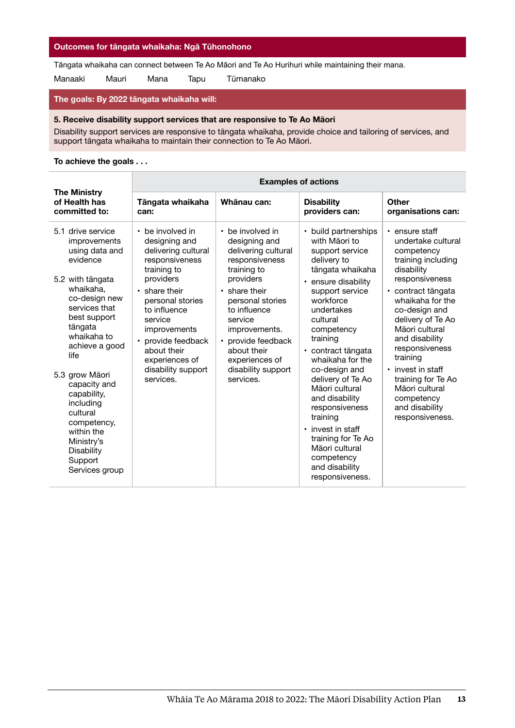#### **Outcomes for tāngata whaikaha: Ngā Tūhonohono**

Tāngata whaikaha can connect between Te Ao Māori and Te Ao Hurihuri while maintaining their mana.

Manaaki Mauri Mana Tapu Tūmanako

#### **The goals: By 2022 tāngata whaikaha will:**

#### **5. Receive disability support services that are responsive to Te Ao Māori**

Disability support services are responsive to tāngata whaikaha, provide choice and tailoring of services, and support tāngata whaikaha to maintain their connection to Te Ao Māori.

|                                                                                                                                                                                                                                                                                                            | <b>Examples of actions</b>                                                                                                                                                        |                                                                                                                                                                                      |                                                                                                                                                                                                                                                                                                                                                                           |                                                                                                                                                                                                                                                                                  |
|------------------------------------------------------------------------------------------------------------------------------------------------------------------------------------------------------------------------------------------------------------------------------------------------------------|-----------------------------------------------------------------------------------------------------------------------------------------------------------------------------------|--------------------------------------------------------------------------------------------------------------------------------------------------------------------------------------|---------------------------------------------------------------------------------------------------------------------------------------------------------------------------------------------------------------------------------------------------------------------------------------------------------------------------------------------------------------------------|----------------------------------------------------------------------------------------------------------------------------------------------------------------------------------------------------------------------------------------------------------------------------------|
| <b>The Ministry</b><br>of Health has<br>committed to:                                                                                                                                                                                                                                                      | Tāngata whaikaha<br>can:                                                                                                                                                          | Whānau can:                                                                                                                                                                          | <b>Disability</b><br>providers can:                                                                                                                                                                                                                                                                                                                                       | Other<br>organisations can:                                                                                                                                                                                                                                                      |
| 5.1 drive service<br>improvements<br>using data and<br>evidence                                                                                                                                                                                                                                            | • be involved in<br>designing and<br>delivering cultural<br>responsiveness<br>training to                                                                                         | • be involved in<br>designing and<br>delivering cultural<br>responsiveness<br>training to                                                                                            | • build partnerships<br>with Māori to<br>support service<br>delivery to<br>tāngata whaikaha                                                                                                                                                                                                                                                                               | $\cdot$ ensure staff<br>undertake cultural<br>competency<br>training including<br>disability                                                                                                                                                                                     |
| 5.2 with tāngata<br>whaikaha.<br>co-design new<br>services that<br>best support<br>tāngata<br>whaikaha to<br>achieve a good<br>life<br>5.3 grow Māori<br>capacity and<br>capability,<br>including<br>cultural<br>competency,<br>within the<br>Ministry's<br><b>Disability</b><br>Support<br>Services group | providers<br>• share their<br>personal stories<br>to influence<br>service<br>improvements<br>provide feedback<br>about their<br>experiences of<br>disability support<br>services. | providers<br>• share their<br>personal stories<br>to influence<br>service<br>improvements.<br>• provide feedback<br>about their<br>experiences of<br>disability support<br>services. | • ensure disability<br>support service<br>workforce<br>undertakes<br>cultural<br>competency<br>training<br>• contract tāngata<br>whaikaha for the<br>co-design and<br>delivery of Te Ao<br>Māori cultural<br>and disability<br>responsiveness<br>training<br>• invest in staff<br>training for Te Ao<br>Māori cultural<br>competency<br>and disability<br>responsiveness. | responsiveness<br>• contract tāngata<br>whaikaha for the<br>co-design and<br>delivery of Te Ao<br>Māori cultural<br>and disability<br>responsiveness<br>training<br>• invest in staff<br>training for Te Ao<br>Māori cultural<br>competency<br>and disability<br>responsiveness. |